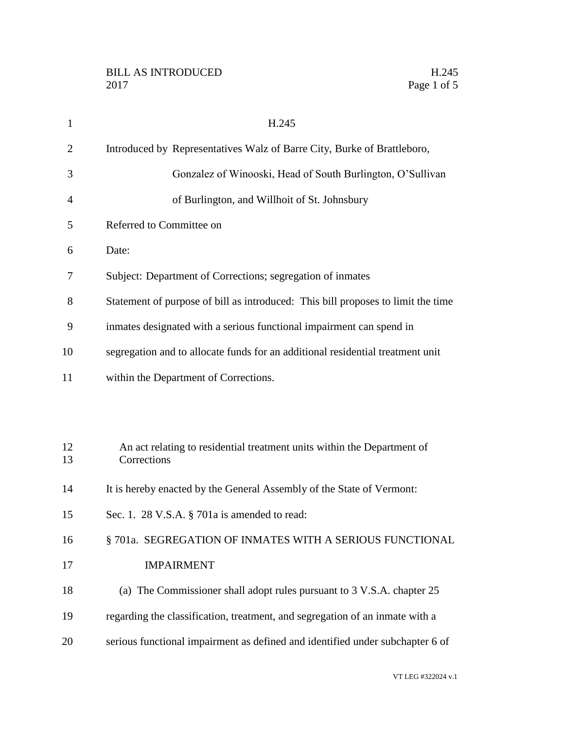| $\mathbf{1}$   | H.245                                                                                                                                                         |
|----------------|---------------------------------------------------------------------------------------------------------------------------------------------------------------|
| $\overline{2}$ | Introduced by Representatives Walz of Barre City, Burke of Brattleboro,                                                                                       |
| 3              | Gonzalez of Winooski, Head of South Burlington, O'Sullivan                                                                                                    |
| 4              | of Burlington, and Willhoit of St. Johnsbury                                                                                                                  |
| 5              | Referred to Committee on                                                                                                                                      |
| 6              | Date:                                                                                                                                                         |
| 7              | Subject: Department of Corrections; segregation of inmates                                                                                                    |
| 8              | Statement of purpose of bill as introduced: This bill proposes to limit the time                                                                              |
| 9              | inmates designated with a serious functional impairment can spend in                                                                                          |
| 10             | segregation and to allocate funds for an additional residential treatment unit                                                                                |
| 11             | within the Department of Corrections.                                                                                                                         |
|                |                                                                                                                                                               |
|                |                                                                                                                                                               |
| 12<br>13       | An act relating to residential treatment units within the Department of<br>Corrections                                                                        |
| 14             | It is hereby enacted by the General Assembly of the State of Vermont:                                                                                         |
| 15             | Sec. 1. 28 V.S.A. § 701a is amended to read:                                                                                                                  |
| 16             | §701a. SEGREGATION OF INMATES WITH A SERIOUS FUNCTIONAL                                                                                                       |
| 17             | <b>IMPAIRMENT</b>                                                                                                                                             |
| 18             | (a) The Commissioner shall adopt rules pursuant to 3 V.S.A. chapter 25                                                                                        |
|                |                                                                                                                                                               |
| 19             |                                                                                                                                                               |
| 20             | regarding the classification, treatment, and segregation of an inmate with a<br>serious functional impairment as defined and identified under subchapter 6 of |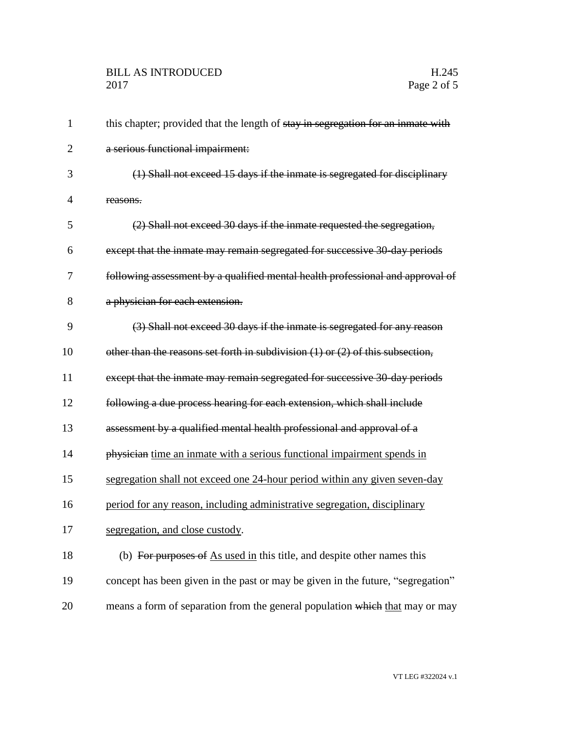## BILL AS INTRODUCED H.245 Page 2 of 5

| $\mathbf{1}$   | this chapter; provided that the length of stay in segregation for an inmate with   |
|----------------|------------------------------------------------------------------------------------|
| $\overline{2}$ | a serious functional impairment:                                                   |
| 3              | (1) Shall not exceed 15 days if the inmate is segregated for disciplinary          |
| 4              | reasons.                                                                           |
| 5              | (2) Shall not exceed 30 days if the inmate requested the segregation,              |
| 6              | except that the inmate may remain segregated for successive 30 day periods         |
| 7              | following assessment by a qualified mental health professional and approval of     |
| 8              | a physician for each extension.                                                    |
| 9              | (3) Shall not exceed 30 days if the inmate is segregated for any reason            |
| 10             | other than the reasons set forth in subdivision $(1)$ or $(2)$ of this subsection, |
| 11             | except that the inmate may remain segregated for successive 30 day periods         |
| 12             | following a due process hearing for each extension, which shall include            |
| 13             | assessment by a qualified mental health professional and approval of a             |
| 14             | physician time an inmate with a serious functional impairment spends in            |
| 15             | segregation shall not exceed one 24-hour period within any given seven-day         |
| 16             | period for any reason, including administrative segregation, disciplinary          |
| 17             | segregation, and close custody.                                                    |
| 18             | (b) For purposes of As used in this title, and despite other names this            |
| 19             | concept has been given in the past or may be given in the future, "segregation"    |
| 20             | means a form of separation from the general population which that may or may       |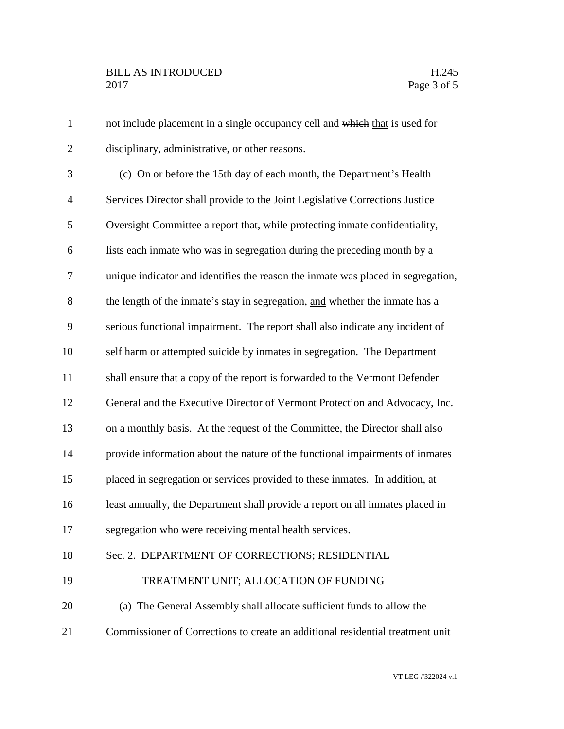| $\mathbf{1}$   | not include placement in a single occupancy cell and which that is used for      |
|----------------|----------------------------------------------------------------------------------|
| $\overline{2}$ | disciplinary, administrative, or other reasons.                                  |
| 3              | (c) On or before the 15th day of each month, the Department's Health             |
| $\overline{4}$ | Services Director shall provide to the Joint Legislative Corrections Justice     |
| 5              | Oversight Committee a report that, while protecting inmate confidentiality,      |
| 6              | lists each inmate who was in segregation during the preceding month by a         |
| 7              | unique indicator and identifies the reason the inmate was placed in segregation, |
| 8              | the length of the inmate's stay in segregation, and whether the inmate has a     |
| 9              | serious functional impairment. The report shall also indicate any incident of    |
| 10             | self harm or attempted suicide by inmates in segregation. The Department         |
| 11             | shall ensure that a copy of the report is forwarded to the Vermont Defender      |
| 12             | General and the Executive Director of Vermont Protection and Advocacy, Inc.      |
| 13             | on a monthly basis. At the request of the Committee, the Director shall also     |
| 14             | provide information about the nature of the functional impairments of inmates    |
| 15             | placed in segregation or services provided to these inmates. In addition, at     |
| 16             | least annually, the Department shall provide a report on all inmates placed in   |
| 17             | segregation who were receiving mental health services.                           |
| 18             | Sec. 2. DEPARTMENT OF CORRECTIONS; RESIDENTIAL                                   |
| 19             | TREATMENT UNIT; ALLOCATION OF FUNDING                                            |
| 20             | (a) The General Assembly shall allocate sufficient funds to allow the            |
| 21             | Commissioner of Corrections to create an additional residential treatment unit   |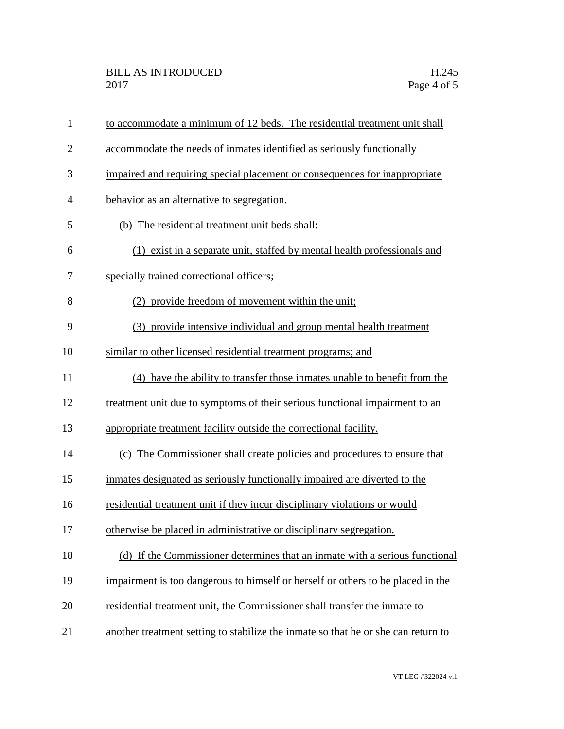| $\mathbf{1}$   | to accommodate a minimum of 12 beds. The residential treatment unit shall         |
|----------------|-----------------------------------------------------------------------------------|
| $\overline{2}$ | accommodate the needs of inmates identified as seriously functionally             |
| 3              | impaired and requiring special placement or consequences for inappropriate        |
| $\overline{4}$ | behavior as an alternative to segregation.                                        |
| 5              | (b) The residential treatment unit beds shall:                                    |
| 6              | (1) exist in a separate unit, staffed by mental health professionals and          |
| 7              | specially trained correctional officers;                                          |
| 8              | (2) provide freedom of movement within the unit;                                  |
| 9              | (3) provide intensive individual and group mental health treatment                |
| 10             | similar to other licensed residential treatment programs; and                     |
| 11             | (4) have the ability to transfer those inmates unable to benefit from the         |
| 12             | treatment unit due to symptoms of their serious functional impairment to an       |
| 13             | appropriate treatment facility outside the correctional facility.                 |
| 14             | (c) The Commissioner shall create policies and procedures to ensure that          |
| 15             | inmates designated as seriously functionally impaired are diverted to the         |
| 16             | residential treatment unit if they incur disciplinary violations or would         |
| 17             | otherwise be placed in administrative or disciplinary segregation.                |
| 18             | (d) If the Commissioner determines that an inmate with a serious functional       |
| 19             | impairment is too dangerous to himself or herself or others to be placed in the   |
| 20             | residential treatment unit, the Commissioner shall transfer the inmate to         |
| 21             | another treatment setting to stabilize the inmate so that he or she can return to |